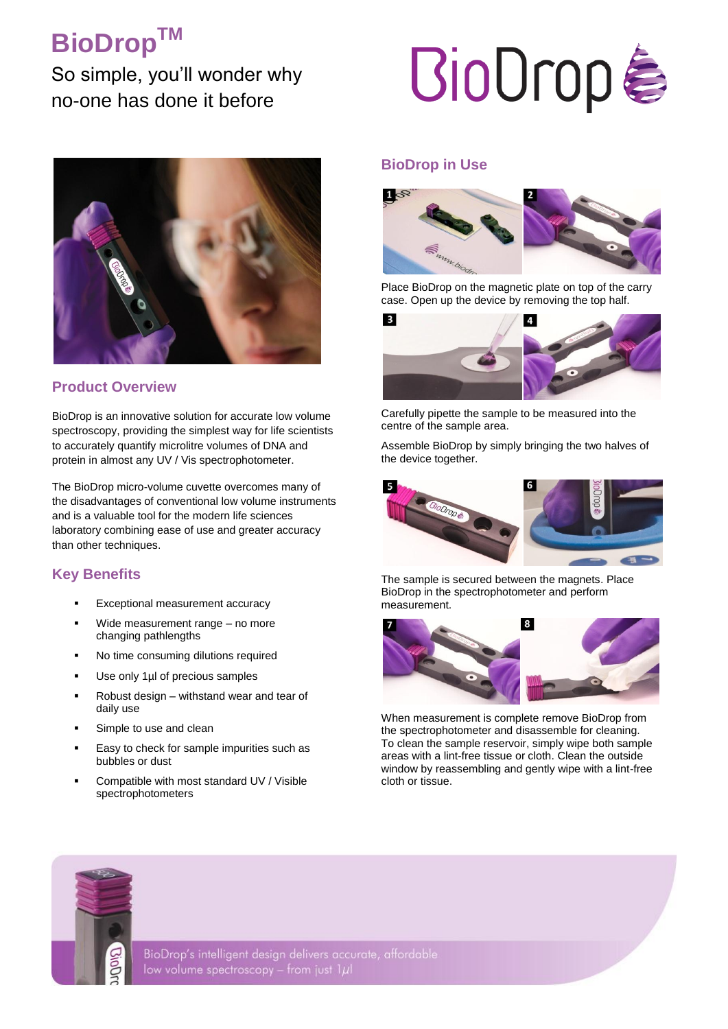## **BioDropTM**

So simple, you'll wonder why no-one has done it before



## **Product Overview**

BioDrop is an innovative solution for accurate low volume spectroscopy, providing the simplest way for life scientists to accurately quantify microlitre volumes of DNA and protein in almost any UV / Vis spectrophotometer.

The BioDrop micro-volume cuvette overcomes many of the disadvantages of conventional low volume instruments and is a valuable tool for the modern life sciences laboratory combining ease of use and greater accuracy than other techniques.

## **Key Benefits**

- Exceptional measurement accuracy
- Wide measurement range no more changing pathlengths
- No time consuming dilutions required
- Use only 1µl of precious samples
- Robust design withstand wear and tear of daily use
- Simple to use and clean
- Easy to check for sample impurities such as bubbles or dust
- Compatible with most standard UV / Visible spectrophotometers

# **BioDrop&**

## **BioDrop in Use**



Place BioDrop on the magnetic plate on top of the carry case. Open up the device by removing the top half.



Carefully pipette the sample to be measured into the centre of the sample area.

Assemble BioDrop by simply bringing the two halves of the device together.



The sample is secured between the magnets. Place BioDrop in the spectrophotometer and perform measurement.



When measurement is complete remove BioDrop from the spectrophotometer and disassemble for cleaning. To clean the sample reservoir, simply wipe both sample areas with a lint-free tissue or cloth. Clean the outside window by reassembling and gently wipe with a lint-free cloth or tissue.